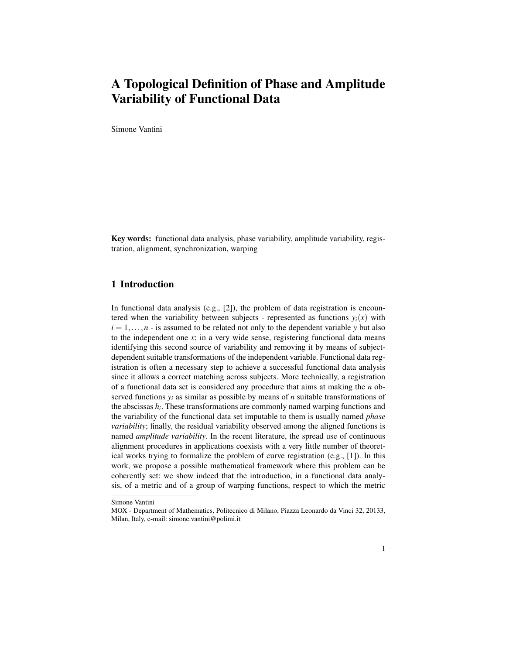# A Topological Definition of Phase and Amplitude Variability of Functional Data

Simone Vantini

Key words: functional data analysis, phase variability, amplitude variability, registration, alignment, synchronization, warping

## 1 Introduction

In functional data analysis (e.g., [2]), the problem of data registration is encountered when the variability between subjects - represented as functions  $y_i(x)$  with  $i = 1, \ldots, n$  - is assumed to be related not only to the dependent variable *y* but also to the independent one  $x$ ; in a very wide sense, registering functional data means identifying this second source of variability and removing it by means of subjectdependent suitable transformations of the independent variable. Functional data registration is often a necessary step to achieve a successful functional data analysis since it allows a correct matching across subjects. More technically, a registration of a functional data set is considered any procedure that aims at making the *n* observed functions  $y_i$  as similar as possible by means of *n* suitable transformations of the abscissas  $h_i$ . These transformations are commonly named warping functions and the variability of the functional data set imputable to them is usually named *phase variability*; finally, the residual variability observed among the aligned functions is named *amplitude variability*. In the recent literature, the spread use of continuous alignment procedures in applications coexists with a very little number of theoretical works trying to formalize the problem of curve registration (e.g., [1]). In this work, we propose a possible mathematical framework where this problem can be coherently set: we show indeed that the introduction, in a functional data analysis, of a metric and of a group of warping functions, respect to which the metric

Simone Vantini

MOX - Department of Mathematics, Politecnico di Milano, Piazza Leonardo da Vinci 32, 20133, Milan, Italy, e-mail: simone.vantini@polimi.it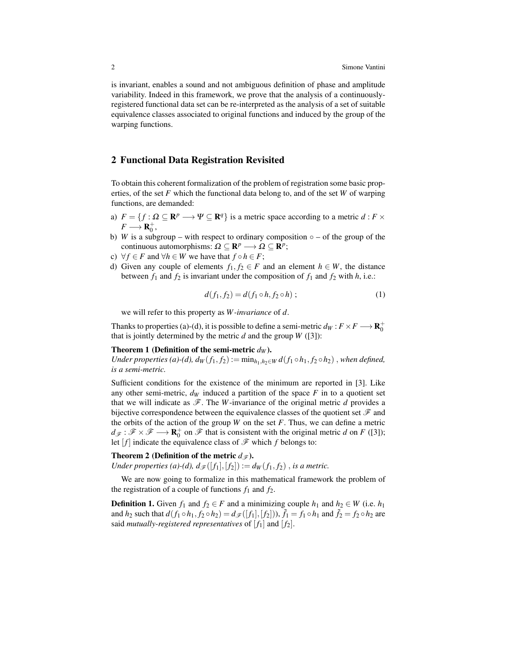is invariant, enables a sound and not ambiguous definition of phase and amplitude variability. Indeed in this framework, we prove that the analysis of a continuouslyregistered functional data set can be re-interpreted as the analysis of a set of suitable equivalence classes associated to original functions and induced by the group of the warping functions.

### 2 Functional Data Registration Revisited

To obtain this coherent formalization of the problem of registration some basic properties, of the set *F* which the functional data belong to, and of the set *W* of warping functions, are demanded:

- a)  $F = \{ f : \Omega \subseteq \mathbb{R}^p \longrightarrow \Psi \subseteq \mathbb{R}^q \}$  is a metric space according to a metric  $d : F \times$  $F \longrightarrow \mathbf{R}_{0}^{+},$
- b) *W* is a subgroup with respect to ordinary composition  $\circ$  of the group of the continuous automorphisms:  $\Omega \subseteq \mathbf{R}^p \longrightarrow \Omega \subseteq \mathbf{R}^p$ ;
- c)  $\forall f \in F$  and  $\forall h \in W$  we have that  $f \circ h \in F$ ;
- d) Given any couple of elements  $f_1, f_2 \in F$  and an element  $h \in W$ , the distance between  $f_1$  and  $f_2$  is invariant under the composition of  $f_1$  and  $f_2$  with  $h$ , i.e.:

$$
d(f_1, f_2) = d(f_1 \circ h, f_2 \circ h); \tag{1}
$$

we will refer to this property as *W -invariance* of *d*.

Thanks to properties (a)-(d), it is possible to define a semi-metric  $d_W : F \times F \longrightarrow \mathbf{R}^+_0$ that is jointly determined by the metric  $d$  and the group  $W$  ([3]):

#### Theorem 1 (Definition of the semi-metric  $d_W$ ).

*Under properties (a)-(d),*  $d_W(f_1, f_2) := \min_{h_1, h_2 \in W} d(f_1 \circ h_1, f_2 \circ h_2)$ , when defined, *is a semi-metric.*

Sufficient conditions for the existence of the minimum are reported in [3]. Like any other semi-metric,  $d_W$  induced a partition of the space  $F$  in to a quotient set that we will indicate as  $\mathscr{F}$ . The *W*-invariance of the original metric *d* provides a bijective correspondence between the equivalence classes of the quotient set  $\mathscr F$  and the orbits of the action of the group  $W$  on the set  $F$ . Thus, we can define a metric  $d_{\mathscr{F}}:\mathscr{F}\times\mathscr{F}\longrightarrow\mathbf{R}_{0}^{+}$  on  $\mathscr{F}$  that is consistent with the original metric *d* on *F* ([3]); let  $[f]$  indicate the equivalence class of  $\mathscr F$  which  $f$  belongs to:

#### Theorem 2 (Definition of the metric  $d_{\mathscr{F}}$ ).

*Under properties (a)-(d),*  $d_{\mathscr{F}}([f_1],[f_2]) := d_W(f_1,f_2)$ *, <i>is a metric.* 

We are now going to formalize in this mathematical framework the problem of the registration of a couple of functions  $f_1$  and  $f_2$ .

**Definition 1.** Given  $f_1$  and  $f_2 \in F$  and a minimizing couple  $h_1$  and  $h_2 \in W$  (i.e.  $h_1$ ) and  $h_2$  such that  $d(f_1 \circ h_1, f_2 \circ h_2) = d_{\mathscr{F}}([f_1], [f_2]))$ ,  $\tilde{f}_1 = f_1 \circ h_1$  and  $\tilde{f}_2 = f_2 \circ h_2$  are said *mutually-registered representatives* of  $[f_1]$  and  $[f_2]$ .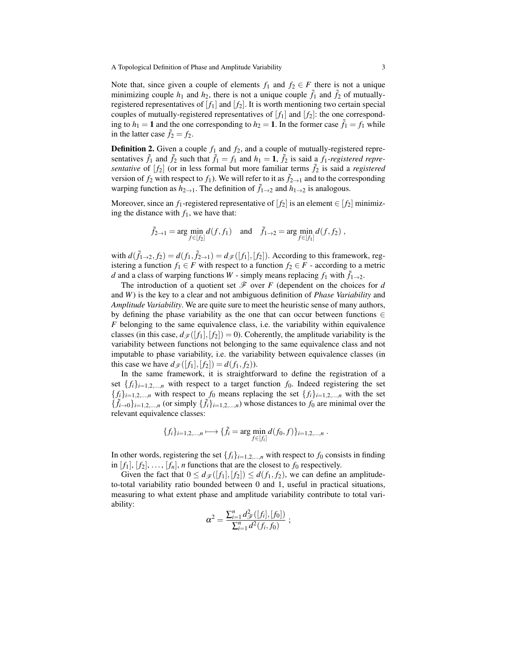A Topological Definition of Phase and Amplitude Variability 3

Note that, since given a couple of elements  $f_1$  and  $f_2 \in F$  there is not a unique minimizing couple  $h_1$  and  $h_2$ , there is not a unique couple  $\tilde{f}_1$  and  $\tilde{f}_2$  of mutuallyregistered representatives of  $[f_1]$  and  $[f_2]$ . It is worth mentioning two certain special couples of mutually-registered representatives of  $[f_1]$  and  $[f_2]$ : the one corresponding to  $h_1 = 1$  and the one corresponding to  $h_2 = 1$ . In the former case  $\tilde{f}_1 = f_1$  while in the latter case  $\tilde{f}_2 = f_2$ .

**Definition 2.** Given a couple  $f_1$  and  $f_2$ , and a couple of mutually-registered representatives  $\tilde{f}_1$  and  $\tilde{f}_2$  such that  $\tilde{f}_1 = f_1$  and  $h_1 = 1$ ,  $\tilde{f}_2$  is said a  $f_1$ -registered repre*sentative* of  $[f_2]$  (or in less formal but more familiar terms  $\tilde{f}_2$  is said a *registered* version of  $f_2$  with respect to  $f_1$ ). We will refer to it as  $\tilde{f}_{2\to 1}$  and to the corresponding warping function as  $h_{2\to 1}$ . The definition of  $\tilde{f}_{1\to 2}$  and  $h_{1\to 2}$  is analogous.

Moreover, since an  $f_1$ -registered representative of  $[f_2]$  is an element  $\in [f_2]$  minimizing the distance with  $f_1$ , we have that:

$$
\tilde{f}_{2\to 1} = \arg\min_{f \in [f_2]} d(f, f_1) \quad \text{and} \quad \tilde{f}_{1\to 2} = \arg\min_{f \in [f_1]} d(f, f_2) ,
$$

with  $d(\tilde{f}_{1\to 2}, f_2) = d(f_1, \tilde{f}_{2\to 1}) = d_{\mathscr{F}}([f_1], [f_2])$ . According to this framework, registering a function  $f_1 \in F$  with respect to a function  $f_2 \in F$  - according to a metric *d* and a class of warping functions *W* - simply means replacing  $f_1$  with  $\tilde{f}_{1\rightarrow 2}$ .

The introduction of a quotient set  $\mathcal F$  over  $F$  (dependent on the choices for  $d$ and *W*) is the key to a clear and not ambiguous definition of *Phase Variability* and *Amplitude Variability*. We are quite sure to meet the heuristic sense of many authors, by defining the phase variability as the one that can occur between functions  $\in$ *F* belonging to the same equivalence class, i.e. the variability within equivalence classes (in this case,  $d_{\mathscr{F}}([f_1], [f_2]) = 0$ ). Coherently, the amplitude variability is the variability between functions not belonging to the same equivalence class and not imputable to phase variability, i.e. the variability between equivalence classes (in this case we have  $d_{\mathscr{F}}([f_1], [f_2]) = d(f_1, f_2)$ .

In the same framework, it is straightforward to define the registration of a set  $\{f_i\}_{i=1,2,...,n}$  with respect to a target function  $f_0$ . Indeed registering the set  ${f_i}_{i=1,2,...,n}$  with respect to  $f_0$  means replacing the set  ${f_i}_{i=1,2,...,n}$  with the set  ${\{\tilde{f}_i\}_{i=1,2,...,n}}$  (or simply  ${\{\tilde{f}_i\}_{i=1,2,...,n}}$ ) whose distances to  $f_0$  are minimal over the relevant equivalence classes:

$$
\{f_i\}_{i=1,2,...,n} \longmapsto \{\tilde{f}_i = \arg\min_{f \in [f_i]} d(f_0,f)\}_{i=1,2,...,n}.
$$

In other words, registering the set  $\{f_i\}_{i=1,2,...,n}$  with respect to  $f_0$  consists in finding in  $[f_1], [f_2], \ldots, [f_n], n$  functions that are the closest to  $f_0$  respectively.

Given the fact that  $0 \le d\mathcal{F}([f_1], [f_2]) \le d(f_1, f_2)$ , we can define an amplitudeto-total variability ratio bounded between 0 and 1, useful in practical situations, measuring to what extent phase and amplitude variability contribute to total variability:

$$
\alpha^2 = \frac{\sum_{i=1}^n d_{\mathscr{F}}^2([f_i],[f_0])}{\sum_{i=1}^n d^2(f_i,f_0)};
$$